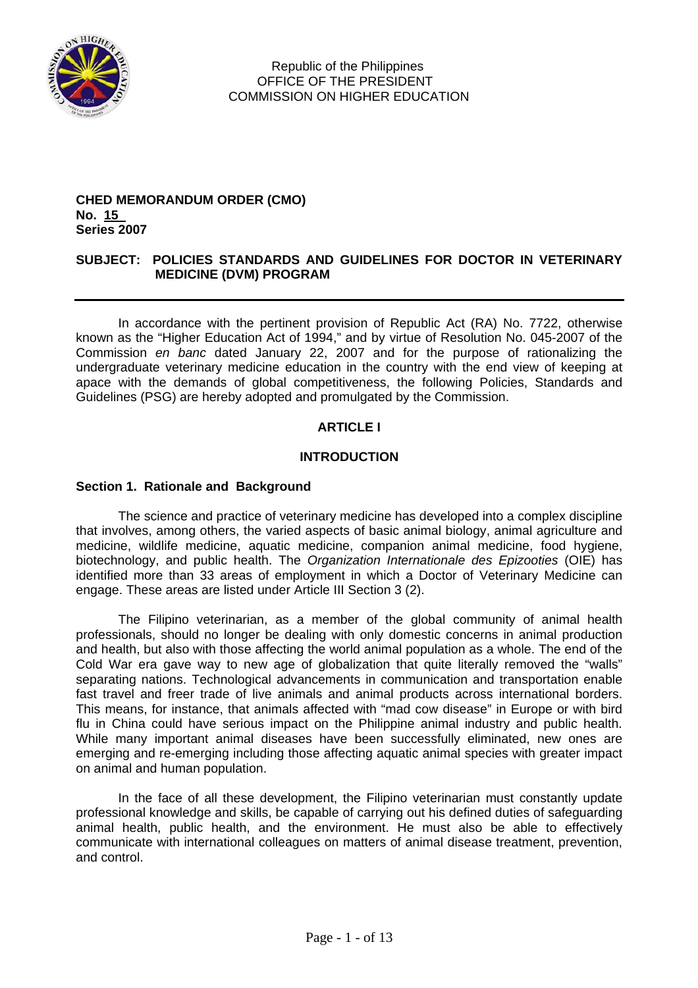

#### **CHED MEMORANDUM ORDER (CMO) No. 15 . Series 2007**

## **SUBJECT: POLICIES STANDARDS AND GUIDELINES FOR DOCTOR IN VETERINARY MEDICINE (DVM) PROGRAM**

In accordance with the pertinent provision of Republic Act (RA) No. 7722, otherwise known as the "Higher Education Act of 1994," and by virtue of Resolution No. 045-2007 of the Commission *en banc* dated January 22, 2007 and for the purpose of rationalizing the undergraduate veterinary medicine education in the country with the end view of keeping at apace with the demands of global competitiveness, the following Policies, Standards and Guidelines (PSG) are hereby adopted and promulgated by the Commission.

## **ARTICLE I**

## **INTRODUCTION**

## **Section 1. Rationale and Background**

The science and practice of veterinary medicine has developed into a complex discipline that involves, among others, the varied aspects of basic animal biology, animal agriculture and medicine, wildlife medicine, aquatic medicine, companion animal medicine, food hygiene, biotechnology, and public health. The *Organization Internationale des Epizooties* (OIE) has identified more than 33 areas of employment in which a Doctor of Veterinary Medicine can engage. These areas are listed under Article III Section 3 (2).

The Filipino veterinarian, as a member of the global community of animal health professionals, should no longer be dealing with only domestic concerns in animal production and health, but also with those affecting the world animal population as a whole. The end of the Cold War era gave way to new age of globalization that quite literally removed the "walls" separating nations. Technological advancements in communication and transportation enable fast travel and freer trade of live animals and animal products across international borders. This means, for instance, that animals affected with "mad cow disease" in Europe or with bird flu in China could have serious impact on the Philippine animal industry and public health. While many important animal diseases have been successfully eliminated, new ones are emerging and re-emerging including those affecting aquatic animal species with greater impact on animal and human population.

In the face of all these development, the Filipino veterinarian must constantly update professional knowledge and skills, be capable of carrying out his defined duties of safeguarding animal health, public health, and the environment. He must also be able to effectively communicate with international colleagues on matters of animal disease treatment, prevention, and control.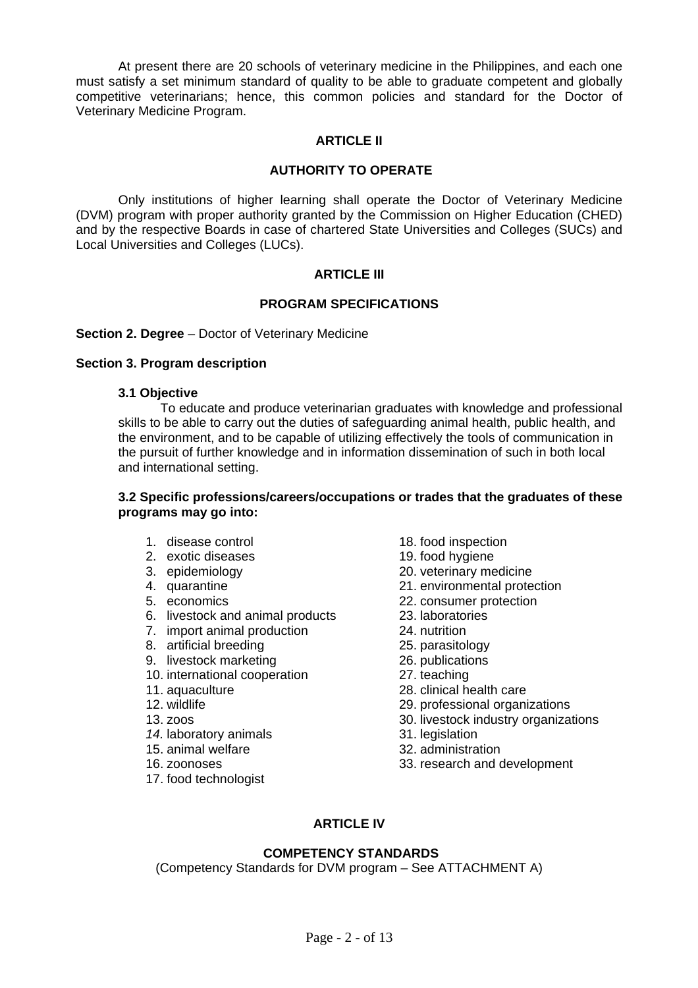At present there are 20 schools of veterinary medicine in the Philippines, and each one must satisfy a set minimum standard of quality to be able to graduate competent and globally competitive veterinarians; hence, this common policies and standard for the Doctor of Veterinary Medicine Program.

## **ARTICLE II**

## **AUTHORITY TO OPERATE**

Only institutions of higher learning shall operate the Doctor of Veterinary Medicine (DVM) program with proper authority granted by the Commission on Higher Education (CHED) and by the respective Boards in case of chartered State Universities and Colleges (SUCs) and Local Universities and Colleges (LUCs).

## **ARTICLE III**

## **PROGRAM SPECIFICATIONS**

### **Section 2. Degree** – Doctor of Veterinary Medicine

### **Section 3. Program description**

### **3.1 Objective**

To educate and produce veterinarian graduates with knowledge and professional skills to be able to carry out the duties of safeguarding animal health, public health, and the environment, and to be capable of utilizing effectively the tools of communication in the pursuit of further knowledge and in information dissemination of such in both local and international setting.

### **3.2 Specific professions/careers/occupations or trades that the graduates of these programs may go into:**

- 1. disease control
- 2. exotic diseases
- 3. epidemiology
- 4. quarantine
- 5. economics
- 6. livestock and animal products
- 7. import animal production
- 8. artificial breeding
- 9. livestock marketing
- 10. international cooperation
- 11. aquaculture
- 12. wildlife
- 13. zoos
- 14. laboratory animals
- 15. animal welfare
- 16. zoonoses
- 17. food technologist
- 18. food inspection
- 19. food hygiene
- 20. veterinary medicine
- 21. environmental protection
- 22. consumer protection
- 23. laboratories
- 24. nutrition
- 25. parasitology
- 26. publications
- 27. teaching
- 28. clinical health care
- 29. professional organizations
- 30. livestock industry organizations
- 31. legislation
- 32. administration
- 33. research and development

# **ARTICLE IV**

# **COMPETENCY STANDARDS**

(Competency Standards for DVM program – See ATTACHMENT A)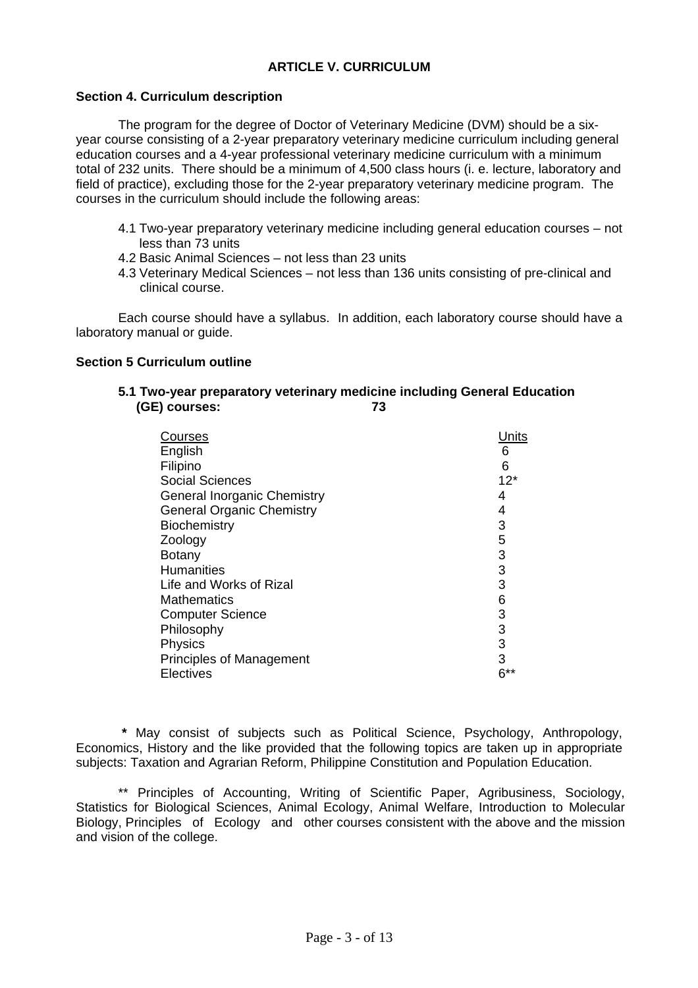## **ARTICLE V. CURRICULUM**

### **Section 4. Curriculum description**

 The program for the degree of Doctor of Veterinary Medicine (DVM) should be a sixyear course consisting of a 2-year preparatory veterinary medicine curriculum including general education courses and a 4-year professional veterinary medicine curriculum with a minimum total of 232 units. There should be a minimum of 4,500 class hours (i. e. lecture, laboratory and field of practice), excluding those for the 2-year preparatory veterinary medicine program. The courses in the curriculum should include the following areas:

- 4.1 Two-year preparatory veterinary medicine including general education courses not less than 73 units
- 4.2 Basic Animal Sciences not less than 23 units
- 4.3 Veterinary Medical Sciences not less than 136 units consisting of pre-clinical and clinical course.

Each course should have a syllabus. In addition, each laboratory course should have a laboratory manual or guide.

### **Section 5 Curriculum outline**

### **5.1 Two-year preparatory veterinary medicine including General Education (GE) courses: 73**

| Courses                            | Jnits       |
|------------------------------------|-------------|
| English                            | 6           |
| Filipino                           | 6           |
| <b>Social Sciences</b>             | $12*$       |
| <b>General Inorganic Chemistry</b> | 4           |
| <b>General Organic Chemistry</b>   | 4           |
| <b>Biochemistry</b>                | 3           |
| Zoology                            | $\mathbf 5$ |
| <b>Botany</b>                      | 3           |
| <b>Humanities</b>                  | 3           |
| Life and Works of Rizal            | 3           |
| <b>Mathematics</b>                 | 6           |
| <b>Computer Science</b>            | 3           |
| Philosophy                         | 3           |
| <b>Physics</b>                     | 3           |
| <b>Principles of Management</b>    | 3           |
| Electives                          | $6***$      |

 **\*** May consist of subjects such as Political Science, Psychology, Anthropology, Economics, History and the like provided that the following topics are taken up in appropriate subjects: Taxation and Agrarian Reform, Philippine Constitution and Population Education.

\*\* Principles of Accounting, Writing of Scientific Paper, Agribusiness, Sociology, Statistics for Biological Sciences, Animal Ecology, Animal Welfare, Introduction to Molecular Biology, Principles of Ecology and other courses consistent with the above and the mission and vision of the college.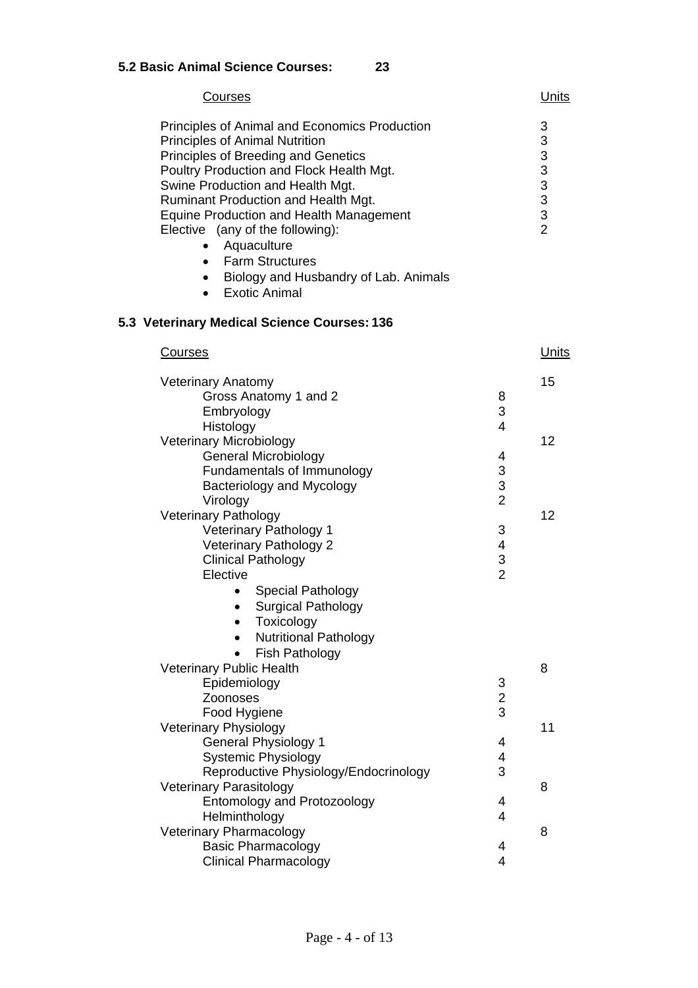| Courses                                                                                                                                                                                                                                                                                                                                                                                                                                                                            |                                                 | <u>Units</u>    |
|------------------------------------------------------------------------------------------------------------------------------------------------------------------------------------------------------------------------------------------------------------------------------------------------------------------------------------------------------------------------------------------------------------------------------------------------------------------------------------|-------------------------------------------------|-----------------|
| Principles of Animal and Economics Production<br><b>Principles of Animal Nutrition</b><br>Principles of Breeding and Genetics<br>Poultry Production and Flock Health Mgt.<br>Swine Production and Health Mgt.<br><b>Ruminant Production and Health Mgt.</b><br><b>Equine Production and Health Management</b><br>Elective (any of the following):<br>• Aquaculture<br>• Farm Structures<br>Biology and Husbandry of Lab. Animals<br>$\bullet$<br><b>Exotic Animal</b><br>$\bullet$ |                                                 | 3<br>3<br>33332 |
| 5.3 Veterinary Medical Science Courses: 136                                                                                                                                                                                                                                                                                                                                                                                                                                        |                                                 |                 |
| <b>Courses</b>                                                                                                                                                                                                                                                                                                                                                                                                                                                                     |                                                 | <u>Units</u>    |
| <b>Veterinary Anatomy</b><br>Gross Anatomy 1 and 2<br>Embryology                                                                                                                                                                                                                                                                                                                                                                                                                   | 8<br>3                                          | 15              |
| Histology<br><b>Veterinary Microbiology</b><br><b>General Microbiology</b><br>Fundamentals of Immunology<br>Bacteriology and Mycology                                                                                                                                                                                                                                                                                                                                              | 4<br>4<br>$\ensuremath{\mathsf{3}}$<br>3        | 12              |
| Virology<br><b>Veterinary Pathology</b><br>Veterinary Pathology 1<br>Veterinary Pathology 2<br><b>Clinical Pathology</b><br>Elective                                                                                                                                                                                                                                                                                                                                               | $\overline{2}$<br>3<br>4<br>3<br>$\overline{2}$ | 12              |
| <b>Special Pathology</b><br><b>Surgical Pathology</b><br>٠<br>Toxicology<br><b>Nutritional Pathology</b><br>Fish Pathology<br>$\bullet$                                                                                                                                                                                                                                                                                                                                            |                                                 |                 |
| <b>Veterinary Public Health</b><br>Epidemiology<br>Zoonoses<br>Food Hygiene                                                                                                                                                                                                                                                                                                                                                                                                        | $\frac{3}{2}$                                   | 8               |
| <b>Veterinary Physiology</b><br><b>General Physiology 1</b><br><b>Systemic Physiology</b><br>Reproductive Physiology/Endocrinology                                                                                                                                                                                                                                                                                                                                                 | 4<br>4<br>3                                     | 11              |
| Veterinary Parasitology<br><b>Entomology and Protozoology</b><br>Helminthology                                                                                                                                                                                                                                                                                                                                                                                                     | 4<br>4                                          | 8               |
| Veterinary Pharmacology<br><b>Basic Pharmacology</b><br><b>Clinical Pharmacology</b>                                                                                                                                                                                                                                                                                                                                                                                               | 4<br>4                                          | 8               |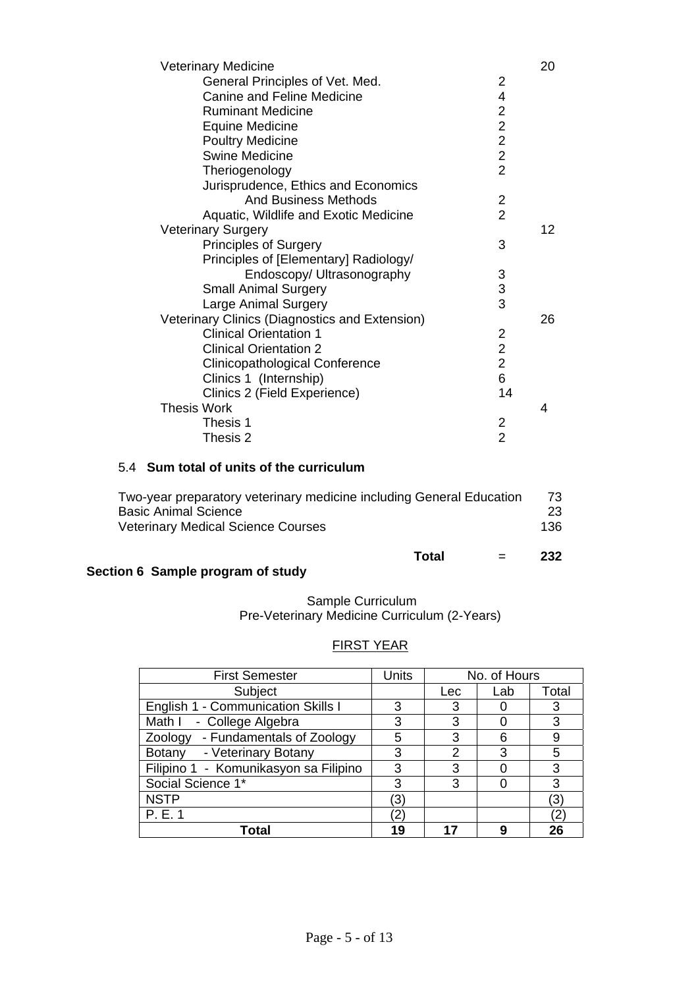| <b>Veterinary Medicine</b>                     |                         | 20      |
|------------------------------------------------|-------------------------|---------|
| General Principles of Vet. Med.                | 2                       |         |
| <b>Canine and Feline Medicine</b>              | 4                       |         |
| <b>Ruminant Medicine</b>                       | $\overline{\mathbf{c}}$ |         |
| Equine Medicine                                |                         |         |
| <b>Poultry Medicine</b>                        | $\frac{2}{2}$           |         |
| <b>Swine Medicine</b>                          | $\overline{2}$          |         |
| Theriogenology                                 | $\overline{2}$          |         |
| Jurisprudence, Ethics and Economics            |                         |         |
| <b>And Business Methods</b>                    | $\overline{2}$          |         |
| Aquatic, Wildlife and Exotic Medicine          | $\overline{2}$          |         |
| <b>Veterinary Surgery</b>                      |                         | $12 \,$ |
| <b>Principles of Surgery</b>                   | 3                       |         |
| Principles of [Elementary] Radiology/          |                         |         |
| Endoscopy/ Ultrasonography                     | 3                       |         |
| <b>Small Animal Surgery</b>                    | $\frac{3}{3}$           |         |
| Large Animal Surgery                           |                         |         |
| Veterinary Clinics (Diagnostics and Extension) |                         | 26      |
| <b>Clinical Orientation 1</b>                  | 2                       |         |
| <b>Clinical Orientation 2</b>                  | $\overline{2}$          |         |
| Clinicopathological Conference                 | $\overline{2}$          |         |
| Clinics 1 (Internship)                         | 6                       |         |
| Clinics 2 (Field Experience)                   | 14                      |         |
| <b>Thesis Work</b>                             |                         | 4       |
| Thesis 1                                       | 2                       |         |
| Thesis 2                                       | $\overline{2}$          |         |

## 5.4 **Sum total of units of the curriculum**

| Total                                                                | 232 |
|----------------------------------------------------------------------|-----|
| <b>Veterinary Medical Science Courses</b>                            | 136 |
| <b>Basic Animal Science</b>                                          | 23  |
| Two-year preparatory veterinary medicine including General Education | 73  |

# **Section 6 Sample program of study**

## Sample Curriculum Pre-Veterinary Medicine Curriculum (2-Years)

# FIRST YEAR

| <b>First Semester</b>                 | Units | No. of Hours |     |       |
|---------------------------------------|-------|--------------|-----|-------|
| Subject                               |       | Lec          | Lab | Total |
| English 1 - Communication Skills I    | 3     | 3            |     | 3     |
| Math I<br>- College Algebra           | 3     | 3            |     | 3     |
| Zoology - Fundamentals of Zoology     | 5     | 3            |     | 9     |
| Botany<br>- Veterinary Botany         | 3     | 2            | 3   | 5     |
| Filipino 1 - Komunikasyon sa Filipino | 3     | 3            |     | 3     |
| Social Science 1*                     | 3     | 3            |     | 3     |
| <b>NSTP</b>                           | 3     |              |     | (3)   |
| P. E. 1                               |       |              |     | 2     |
| <b>Total</b>                          | 19    | 17           |     | 26    |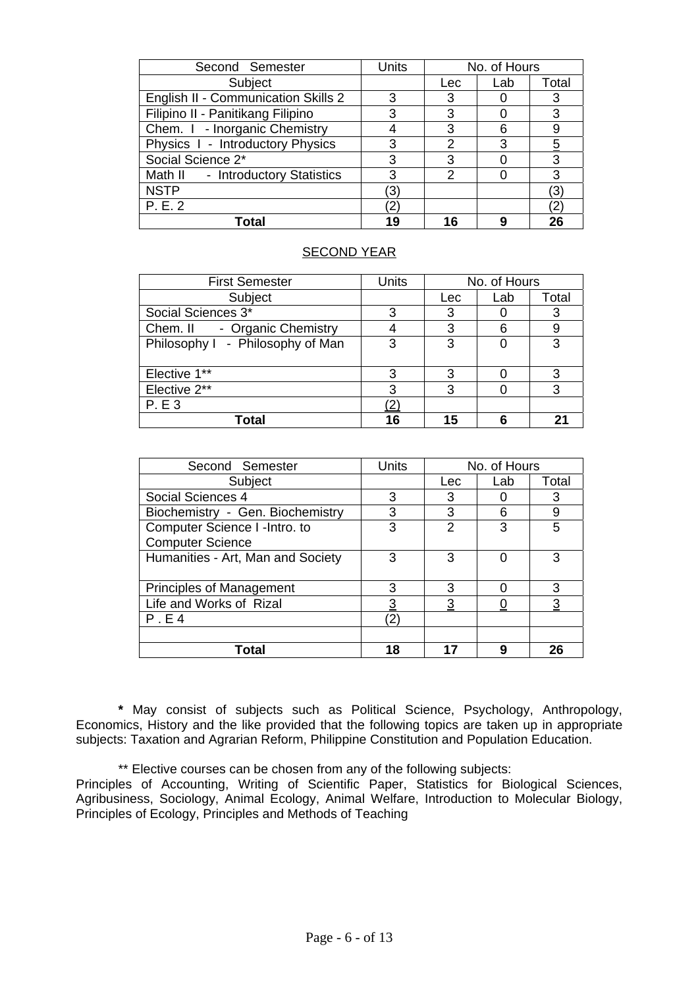| Second Semester                     | Units | No. of Hours |     |                |
|-------------------------------------|-------|--------------|-----|----------------|
| Subject                             |       | Lec          | Lab | Total          |
| English II - Communication Skills 2 | 3     | 3            |     | 3              |
| Filipino II - Panitikang Filipino   | 3     | 3            |     | 3              |
| Chem. I - Inorganic Chemistry       |       | 3            |     | 9              |
| Physics I - Introductory Physics    | 3     | 2            | З   | $\overline{5}$ |
| Social Science 2*                   | 3     | 3            |     | 3              |
| Math II - Introductory Statistics   | 3     | 2            |     | 3              |
| <b>NSTP</b>                         | (3)   |              |     | (3)            |
| P. E. 2                             | 2     |              |     | (2)            |
| Total                               | 19    | 16           |     | 26             |

## SECOND YEAR

| <b>First Semester</b>            | <b>Units</b> | No. of Hours |     |       |
|----------------------------------|--------------|--------------|-----|-------|
| Subject                          |              | Lec          | Lab | Total |
| Social Sciences 3*               | 3            | 3            |     | 3     |
| - Organic Chemistry<br>Chem. II  |              | 3            | հ   | 9     |
| Philosophy I - Philosophy of Man | 3            | 3            |     | 3     |
| Elective 1**                     | 3            | 3            |     | 3     |
| Elective 2**                     | 3            | 3            |     | 3     |
| <b>P.E3</b>                      |              |              |     |       |
| Total                            | 16           | 15           |     |       |

| Second Semester                   | <b>Units</b> | No. of Hours |     |                |
|-----------------------------------|--------------|--------------|-----|----------------|
| Subject                           |              | <b>Lec</b>   | Lab | Total          |
| Social Sciences 4                 | 3            | 3            |     | 3              |
| Biochemistry - Gen. Biochemistry  | 3            | 3            | հ   | 9              |
| Computer Science I -Intro. to     | 3            | 2            | 3   | 5              |
| <b>Computer Science</b>           |              |              |     |                |
| Humanities - Art, Man and Society | 3            | 3            |     | 3              |
|                                   |              |              |     |                |
| <b>Principles of Management</b>   | 3            | 3            |     | 3              |
| Life and Works of Rizal           | 3            | 3            |     | $\overline{3}$ |
| P.E4                              | '2.          |              |     |                |
|                                   |              |              |     |                |
| Total                             | 18           | 17           | q   | 26             |

**\*** May consist of subjects such as Political Science, Psychology, Anthropology, Economics, History and the like provided that the following topics are taken up in appropriate subjects: Taxation and Agrarian Reform, Philippine Constitution and Population Education.

\*\* Elective courses can be chosen from any of the following subjects:

Principles of Accounting, Writing of Scientific Paper, Statistics for Biological Sciences, Agribusiness, Sociology, Animal Ecology, Animal Welfare, Introduction to Molecular Biology, Principles of Ecology, Principles and Methods of Teaching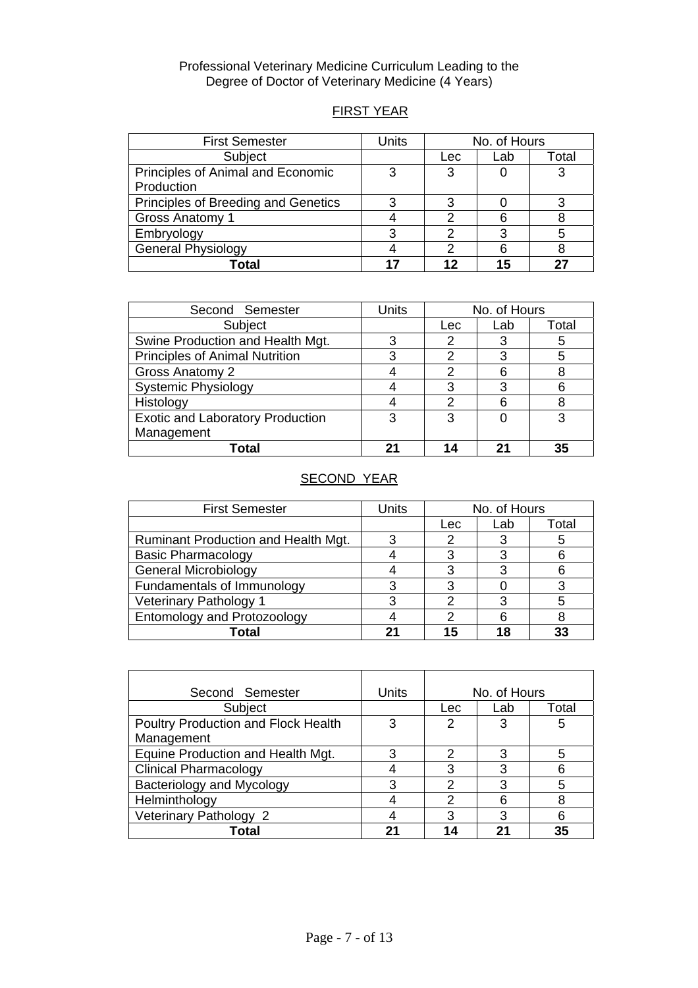### Professional Veterinary Medicine Curriculum Leading to the Degree of Doctor of Veterinary Medicine (4 Years)

# FIRST YEAR

| <b>First Semester</b>               | Units | No. of Hours |     |       |
|-------------------------------------|-------|--------------|-----|-------|
| Subject                             |       | Lec          | Lab | Total |
| Principles of Animal and Economic   | 3     |              |     |       |
| Production                          |       |              |     |       |
| Principles of Breeding and Genetics | 3     |              |     |       |
| Gross Anatomy 1                     |       |              |     |       |
| Embryology                          | י     |              | 3   |       |
| <b>General Physiology</b>           |       |              |     |       |
| Гоtal                               |       | 12           | 15  |       |

| Second Semester                         | Units | No. of Hours |     |       |
|-----------------------------------------|-------|--------------|-----|-------|
| Subject                                 |       | Lec          | Lab | Total |
| Swine Production and Health Mgt.        | 3     |              | 3   | 5     |
| <b>Principles of Animal Nutrition</b>   |       |              | 3   |       |
| Gross Anatomy 2                         |       | 2            | 6   |       |
| <b>Systemic Physiology</b>              |       | 3            | 3   |       |
| Histology                               |       | っ            | 6   |       |
| <b>Exotic and Laboratory Production</b> | 3     | 3            |     | 3     |
| Management                              |       |              |     |       |
| Total                                   | 21    | 14           | 21  | 35    |

# SECOND YEAR

| <b>First Semester</b>               | Units | No. of Hours |     |       |
|-------------------------------------|-------|--------------|-----|-------|
|                                     |       | Lec          | Lab | Total |
| Ruminant Production and Health Mgt. | ว     |              |     | 5     |
| <b>Basic Pharmacology</b>           |       |              |     |       |
| <b>General Microbiology</b>         |       |              | 3   |       |
| Fundamentals of Immunology          |       |              |     |       |
| Veterinary Pathology 1              |       |              | 3   |       |
| Entomology and Protozoology         |       |              |     |       |
| Total                               | つっ    | 15           | 18  |       |

| Second Semester                     | Units | No. of Hours |     |       |
|-------------------------------------|-------|--------------|-----|-------|
| Subject                             |       | Lec          | Lab | Total |
| Poultry Production and Flock Health | 3     | 2            | 3   | 5     |
| Management                          |       |              |     |       |
| Equine Production and Health Mgt.   | 3     | 2            | 3   | 5     |
| <b>Clinical Pharmacology</b>        |       | 3            | 3   |       |
| Bacteriology and Mycology           | 3     | 2            | 3   | 5     |
| Helminthology                       | 4     | っ            | 6   |       |
| Veterinary Pathology 2              |       | 3            | 3   | հ     |
| Total                               | 21    | 14           | 21  | 35    |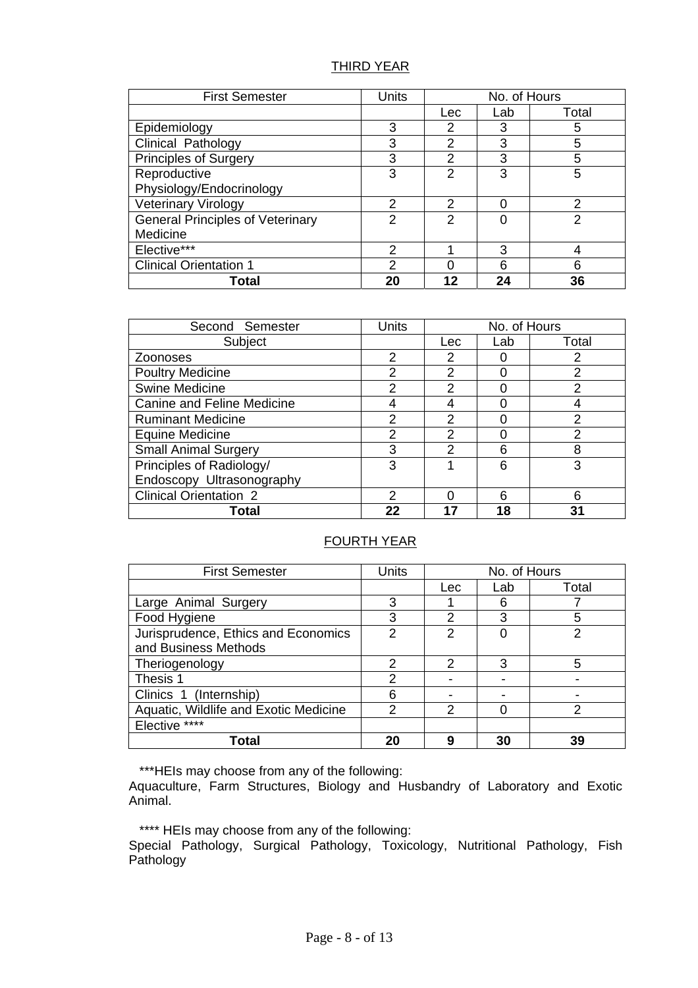## THIRD YEAR

| <b>First Semester</b>                   | <b>Units</b>  | No. of Hours  |     |       |
|-----------------------------------------|---------------|---------------|-----|-------|
|                                         |               | Lec           | Lab | Total |
| Epidemiology                            | 3             | 2             | 3   | 5     |
| Clinical Pathology                      | 3             | 2             | 3   | 5     |
| <b>Principles of Surgery</b>            | 3             | 2             | 3   | 5     |
| Reproductive                            | 3             | $\mathcal{P}$ | 3   | 5     |
| Physiology/Endocrinology                |               |               |     |       |
| <b>Veterinary Virology</b>              | 2             | 2             | 0   | 2     |
| <b>General Principles of Veterinary</b> | 2             | 2             | ი   | 2     |
| Medicine                                |               |               |     |       |
| Elective***                             | $\mathcal{P}$ |               | 3   |       |
| <b>Clinical Orientation 1</b>           | $\mathcal{P}$ |               | 6   | 6     |
| Total                                   | 20            | 12            | 24  | 36    |

| Second Semester                   | Units         | No. of Hours  |     |               |
|-----------------------------------|---------------|---------------|-----|---------------|
| Subject                           |               | Lec           | Lab | Total         |
| Zoonoses                          | $\mathcal{P}$ | $\mathcal{P}$ |     |               |
| <b>Poultry Medicine</b>           | 2             | $\mathcal{P}$ |     | $\mathcal{P}$ |
| <b>Swine Medicine</b>             | $\mathcal{P}$ | 2             | O   | 2             |
| <b>Canine and Feline Medicine</b> |               |               |     |               |
| <b>Ruminant Medicine</b>          | $\mathcal{P}$ | $\mathcal{P}$ | O   | $\mathcal{P}$ |
| <b>Equine Medicine</b>            | 2             | 2             |     | $\mathcal{P}$ |
| <b>Small Animal Surgery</b>       | 3             | っ             | 6   | 8             |
| Principles of Radiology/          | 3             |               | 6   | 3             |
| Endoscopy Ultrasonography         |               |               |     |               |
| <b>Clinical Orientation 2</b>     | 2             |               | 6   | հ             |
| Total                             | 22            |               | 18  |               |

## FOURTH YEAR

| <b>First Semester</b>                 | Units | No. of Hours             |     |       |
|---------------------------------------|-------|--------------------------|-----|-------|
|                                       |       | Lec                      | Lab | Total |
| Large Animal Surgery                  | 3     |                          | 6   |       |
| Food Hygiene                          | 3     | 2                        | 3   | 5     |
| Jurisprudence, Ethics and Economics   | 2     | $\mathcal{P}$            |     |       |
| and Business Methods                  |       |                          |     |       |
| Theriogenology                        | 2     | $\mathcal{P}$            | 3   | 5     |
| Thesis 1                              | 2     |                          |     |       |
| Clinics 1 (Internship)                | 6     | $\overline{\phantom{0}}$ |     |       |
| Aquatic, Wildlife and Exotic Medicine | っ     | 2                        |     | っ     |
| Elective ****                         |       |                          |     |       |
| Total                                 | 20    | 9                        | 30  | 39    |

\*\*\*HEIs may choose from any of the following:

Aquaculture, Farm Structures, Biology and Husbandry of Laboratory and Exotic Animal.

\*\*\*\* HEIs may choose from any of the following:

Special Pathology, Surgical Pathology, Toxicology, Nutritional Pathology, Fish Pathology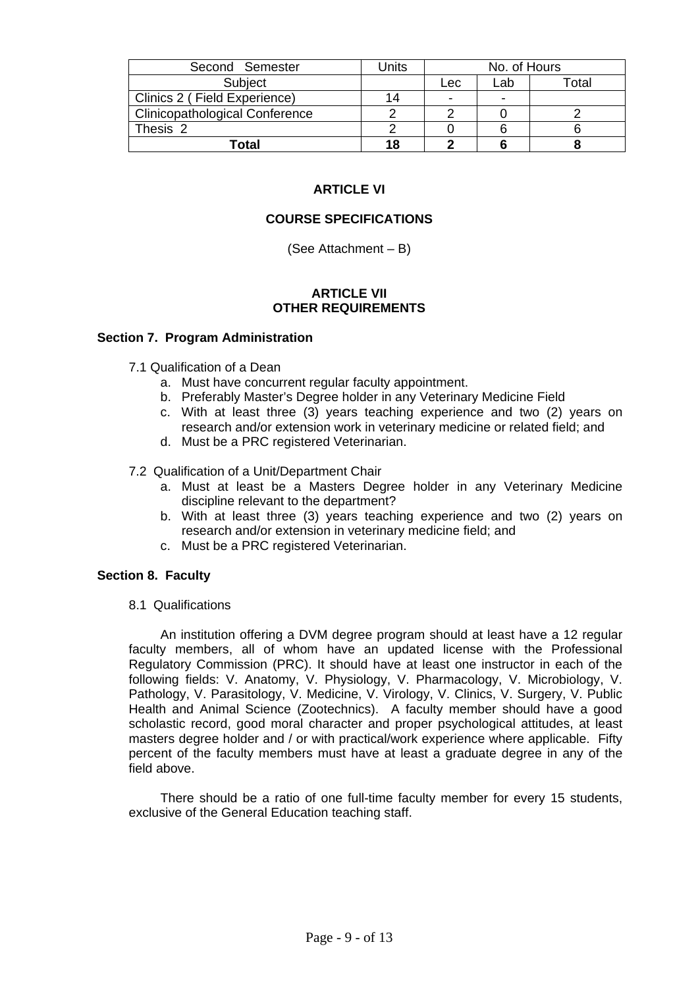| Second Semester                       | Units | No. of Hours   |                          |       |
|---------------------------------------|-------|----------------|--------------------------|-------|
| Subject                               |       | Lec            | Lab                      | otal- |
| Clinics 2 (Field Experience)          | 14    | $\blacksquare$ | $\overline{\phantom{0}}$ |       |
| <b>Clinicopathological Conference</b> |       |                |                          |       |
| Thesis 2                              |       |                |                          |       |
| Total                                 | 18    |                |                          |       |

# **ARTICLE VI**

## **COURSE SPECIFICATIONS**

(See Attachment – B)

### **ARTICLE VII OTHER REQUIREMENTS**

### **Section 7. Program Administration**

- 7.1 Qualification of a Dean
	- a. Must have concurrent regular faculty appointment.
	- b. Preferably Master's Degree holder in any Veterinary Medicine Field
	- c. With at least three (3) years teaching experience and two (2) years on research and/or extension work in veterinary medicine or related field; and
	- d. Must be a PRC registered Veterinarian.
- 7.2 Qualification of a Unit/Department Chair
	- a. Must at least be a Masters Degree holder in any Veterinary Medicine discipline relevant to the department?
	- b. With at least three (3) years teaching experience and two (2) years on research and/or extension in veterinary medicine field; and
	- c. Must be a PRC registered Veterinarian.

### **Section 8. Faculty**

8.1 Qualifications

An institution offering a DVM degree program should at least have a 12 regular faculty members, all of whom have an updated license with the Professional Regulatory Commission (PRC). It should have at least one instructor in each of the following fields: V. Anatomy, V. Physiology, V. Pharmacology, V. Microbiology, V. Pathology, V. Parasitology, V. Medicine, V. Virology, V. Clinics, V. Surgery, V. Public Health and Animal Science (Zootechnics). A faculty member should have a good scholastic record, good moral character and proper psychological attitudes, at least masters degree holder and / or with practical/work experience where applicable. Fifty percent of the faculty members must have at least a graduate degree in any of the field above.

There should be a ratio of one full-time faculty member for every 15 students, exclusive of the General Education teaching staff.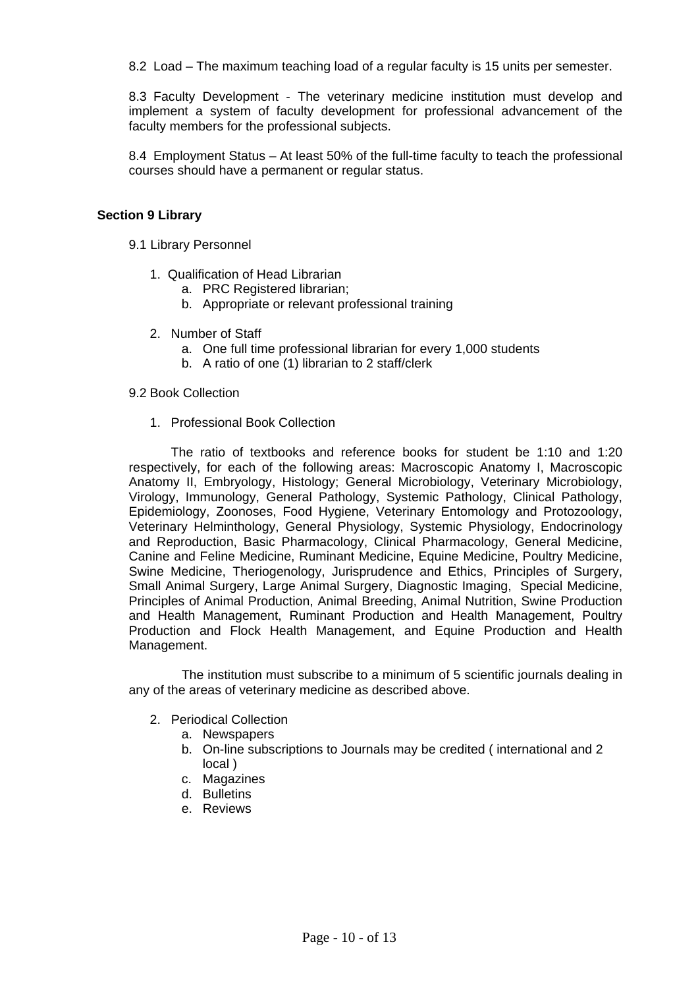8.2 Load – The maximum teaching load of a regular faculty is 15 units per semester.

8.3 Faculty Development - The veterinary medicine institution must develop and implement a system of faculty development for professional advancement of the faculty members for the professional subjects.

8.4 Employment Status – At least 50% of the full-time faculty to teach the professional courses should have a permanent or regular status.

### **Section 9 Library**

- 9.1 Library Personnel
	- 1. Qualification of Head Librarian
		- a. PRC Registered librarian;
		- b. Appropriate or relevant professional training
	- 2. Number of Staff
		- a. One full time professional librarian for every 1,000 students
		- b. A ratio of one (1) librarian to 2 staff/clerk

### 9.2 Book Collection

1. Professional Book Collection

The ratio of textbooks and reference books for student be 1:10 and 1:20 respectively, for each of the following areas: Macroscopic Anatomy I, Macroscopic Anatomy II, Embryology, Histology; General Microbiology, Veterinary Microbiology, Virology, Immunology, General Pathology, Systemic Pathology, Clinical Pathology, Epidemiology, Zoonoses, Food Hygiene, Veterinary Entomology and Protozoology, Veterinary Helminthology, General Physiology, Systemic Physiology, Endocrinology and Reproduction, Basic Pharmacology, Clinical Pharmacology, General Medicine, Canine and Feline Medicine, Ruminant Medicine, Equine Medicine, Poultry Medicine, Swine Medicine, Theriogenology, Jurisprudence and Ethics, Principles of Surgery, Small Animal Surgery, Large Animal Surgery, Diagnostic Imaging, Special Medicine, Principles of Animal Production, Animal Breeding, Animal Nutrition, Swine Production and Health Management, Ruminant Production and Health Management, Poultry Production and Flock Health Management, and Equine Production and Health Management.

The institution must subscribe to a minimum of 5 scientific journals dealing in any of the areas of veterinary medicine as described above.

- 2. Periodical Collection
	- a. Newspapers
	- b. On-line subscriptions to Journals may be credited ( international and 2 local )
	- c. Magazines
	- d. Bulletins
	- e. Reviews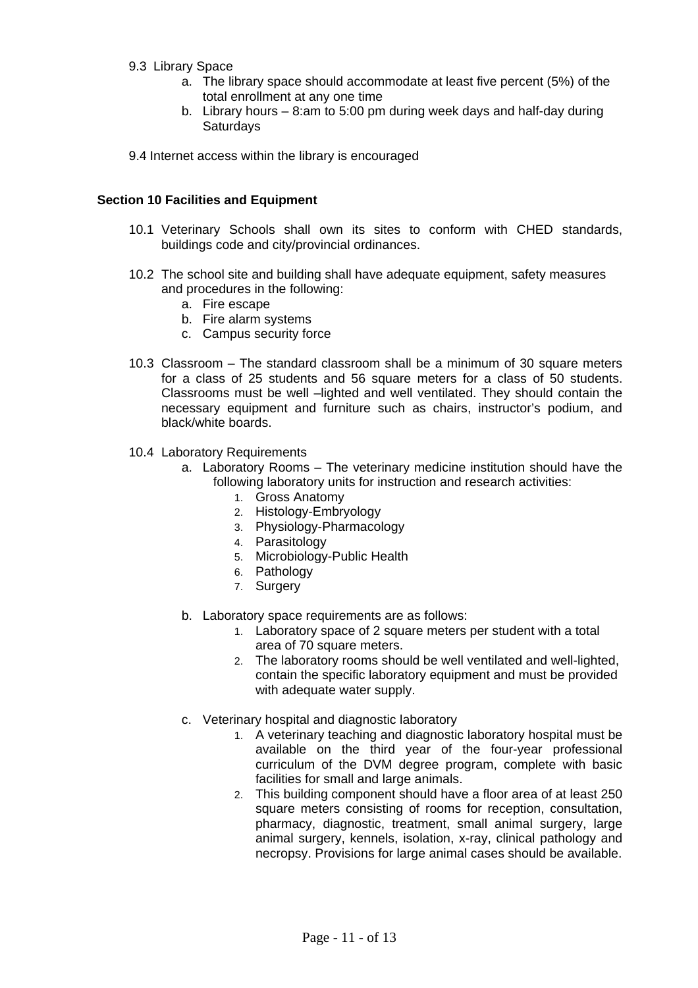- 9.3 Library Space
	- a. The library space should accommodate at least five percent (5%) of the total enrollment at any one time
	- b. Library hours 8:am to 5:00 pm during week days and half-day during **Saturdays**

9.4 Internet access within the library is encouraged

### **Section 10 Facilities and Equipment**

- 10.1 Veterinary Schools shall own its sites to conform with CHED standards, buildings code and city/provincial ordinances.
- 10.2 The school site and building shall have adequate equipment, safety measures and procedures in the following:
	- a. Fire escape
	- b. Fire alarm systems
	- c. Campus security force
- 10.3 Classroom The standard classroom shall be a minimum of 30 square meters for a class of 25 students and 56 square meters for a class of 50 students. Classrooms must be well –lighted and well ventilated. They should contain the necessary equipment and furniture such as chairs, instructor's podium, and black/white boards.
- 10.4 Laboratory Requirements
	- a. Laboratory Rooms The veterinary medicine institution should have the following laboratory units for instruction and research activities:
		- 1. Gross Anatomy
		- 2. Histology-Embryology
		- 3. Physiology-Pharmacology
		- 4. Parasitology
		- 5. Microbiology-Public Health
		- 6. Pathology
		- 7. Surgery
	- b. Laboratory space requirements are as follows:
		- 1. Laboratory space of 2 square meters per student with a total area of 70 square meters.
		- 2. The laboratory rooms should be well ventilated and well-lighted, contain the specific laboratory equipment and must be provided with adequate water supply.
	- c. Veterinary hospital and diagnostic laboratory
		- 1. A veterinary teaching and diagnostic laboratory hospital must be available on the third year of the four-year professional curriculum of the DVM degree program, complete with basic facilities for small and large animals.
		- 2. This building component should have a floor area of at least 250 square meters consisting of rooms for reception, consultation, pharmacy, diagnostic, treatment, small animal surgery, large animal surgery, kennels, isolation, x-ray, clinical pathology and necropsy. Provisions for large animal cases should be available.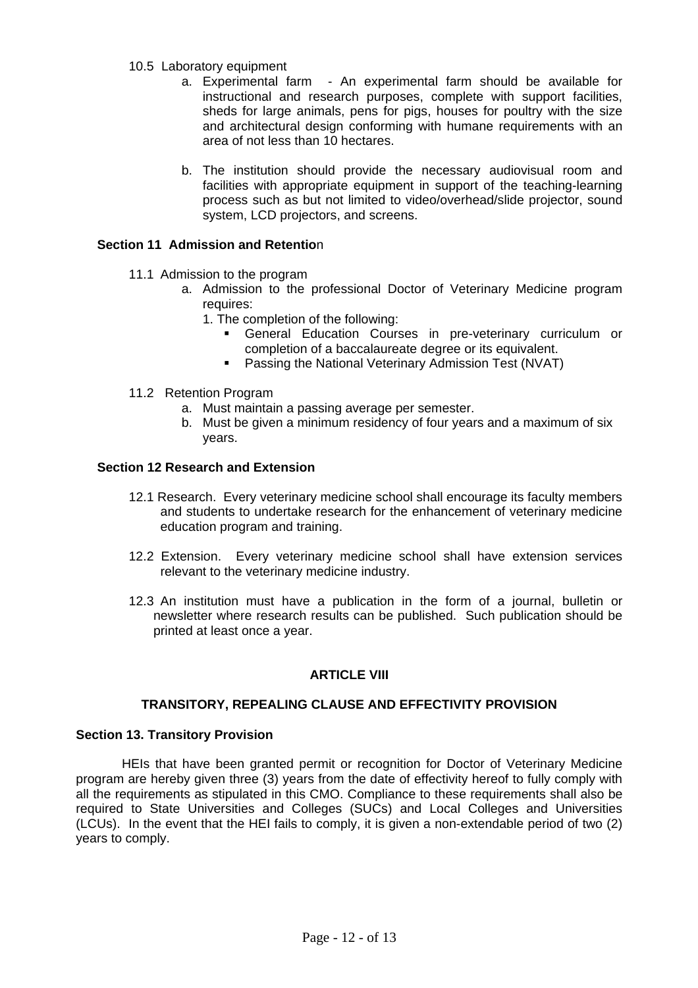- 10.5 Laboratory equipment
	- a. Experimental farm An experimental farm should be available for instructional and research purposes, complete with support facilities, sheds for large animals, pens for pigs, houses for poultry with the size and architectural design conforming with humane requirements with an area of not less than 10 hectares.
	- b. The institution should provide the necessary audiovisual room and facilities with appropriate equipment in support of the teaching-learning process such as but not limited to video/overhead/slide projector, sound system, LCD projectors, and screens.

## **Section 11 Admission and Retentio**n

- 11.1 Admission to the program
	- a. Admission to the professional Doctor of Veterinary Medicine program requires:
		- 1. The completion of the following:
			- General Education Courses in pre-veterinary curriculum or completion of a baccalaureate degree or its equivalent.
			- **Passing the National Veterinary Admission Test (NVAT)**
- 11.2 Retention Program
	- a. Must maintain a passing average per semester.
	- b. Must be given a minimum residency of four years and a maximum of six years.

## **Section 12 Research and Extension**

- 12.1 Research. Every veterinary medicine school shall encourage its faculty members and students to undertake research for the enhancement of veterinary medicine education program and training.
- 12.2 Extension. Every veterinary medicine school shall have extension services relevant to the veterinary medicine industry.
- 12.3 An institution must have a publication in the form of a journal, bulletin or newsletter where research results can be published. Such publication should be printed at least once a year.

# **ARTICLE VIII**

## **TRANSITORY, REPEALING CLAUSE AND EFFECTIVITY PROVISION**

## **Section 13. Transitory Provision**

HEIs that have been granted permit or recognition for Doctor of Veterinary Medicine program are hereby given three (3) years from the date of effectivity hereof to fully comply with all the requirements as stipulated in this CMO. Compliance to these requirements shall also be required to State Universities and Colleges (SUCs) and Local Colleges and Universities (LCUs). In the event that the HEI fails to comply, it is given a non-extendable period of two (2) years to comply.